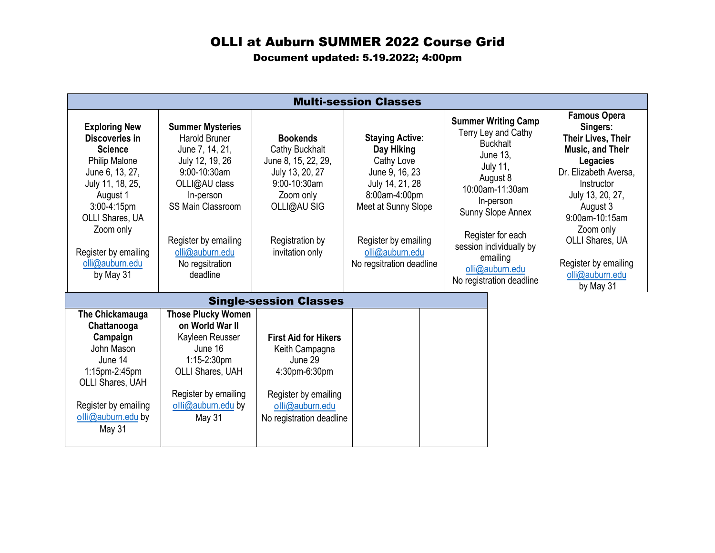## OLLI at Auburn SUMMER 2022 Course Grid

Document updated: 5.19.2022; 4:00pm

| <b>Multi-session Classes</b>                                                                                                                                                                                                                  |                                                                                                                                                                                                                                           |                                                                                                                                                               |                                                                                                                                                                                                        |  |                                                                                                                                                                                                                                                                                        |  |                                                                                                                                                                                                                                                                         |
|-----------------------------------------------------------------------------------------------------------------------------------------------------------------------------------------------------------------------------------------------|-------------------------------------------------------------------------------------------------------------------------------------------------------------------------------------------------------------------------------------------|---------------------------------------------------------------------------------------------------------------------------------------------------------------|--------------------------------------------------------------------------------------------------------------------------------------------------------------------------------------------------------|--|----------------------------------------------------------------------------------------------------------------------------------------------------------------------------------------------------------------------------------------------------------------------------------------|--|-------------------------------------------------------------------------------------------------------------------------------------------------------------------------------------------------------------------------------------------------------------------------|
| <b>Exploring New</b><br>Discoveries in<br><b>Science</b><br><b>Philip Malone</b><br>June 6, 13, 27,<br>July 11, 18, 25,<br>August 1<br>$3:00-4:15$ pm<br>OLLI Shares, UA<br>Zoom only<br>Register by emailing<br>olli@auburn.edu<br>by May 31 | <b>Summer Mysteries</b><br><b>Harold Bruner</b><br>June 7, 14, 21,<br>July 12, 19, 26<br>9:00-10:30am<br>OLLI@AU class<br>In-person<br><b>SS Main Classroom</b><br>Register by emailing<br>olli@auburn.edu<br>No regsitration<br>deadline | <b>Bookends</b><br>Cathy Buckhalt<br>June 8, 15, 22, 29,<br>July 13, 20, 27<br>9:00-10:30am<br>Zoom only<br>OLLI@AU SIG<br>Registration by<br>invitation only | <b>Staying Active:</b><br>Day Hiking<br>Cathy Love<br>June 9, 16, 23<br>July 14, 21, 28<br>8:00am-4:00pm<br>Meet at Sunny Slope<br>Register by emailing<br>olli@auburn.edu<br>No regsitration deadline |  | <b>Summer Writing Camp</b><br>Terry Ley and Cathy<br><b>Buckhalt</b><br><b>June 13.</b><br><b>July 11,</b><br>August 8<br>10:00am-11:30am<br>In-person<br>Sunny Slope Annex<br>Register for each<br>session individually by<br>emailing<br>olli@auburn.edu<br>No registration deadline |  | <b>Famous Opera</b><br>Singers:<br>Their Lives, Their<br><b>Music, and Their</b><br>Legacies<br>Dr. Elizabeth Aversa,<br>Instructor<br>July 13, 20, 27,<br>August 3<br>9:00am-10:15am<br>Zoom only<br><b>OLLI Shares, UA</b><br>Register by emailing<br>olli@auburn.edu |
| by May 31<br><b>Single-session Classes</b>                                                                                                                                                                                                    |                                                                                                                                                                                                                                           |                                                                                                                                                               |                                                                                                                                                                                                        |  |                                                                                                                                                                                                                                                                                        |  |                                                                                                                                                                                                                                                                         |
| The Chickamauga<br>Chattanooga<br>Campaign<br>John Mason<br>June 14<br>$1:15$ pm- $2:45$ pm<br><b>OLLI Shares, UAH</b><br>Register by emailing<br>olli@auburn.edu by<br>May 31                                                                | <b>Those Plucky Women</b><br>on World War II<br>Kayleen Reusser<br>June 16<br>$1:15-2:30$ pm<br>OLLI Shares, UAH<br>Register by emailing<br>olli@auburn.edu by<br><b>May 31</b>                                                           | <b>First Aid for Hikers</b><br>Keith Campagna<br>June 29<br>4:30pm-6:30pm<br>Register by emailing<br>olli@auburn.edu<br>No registration deadline              |                                                                                                                                                                                                        |  |                                                                                                                                                                                                                                                                                        |  |                                                                                                                                                                                                                                                                         |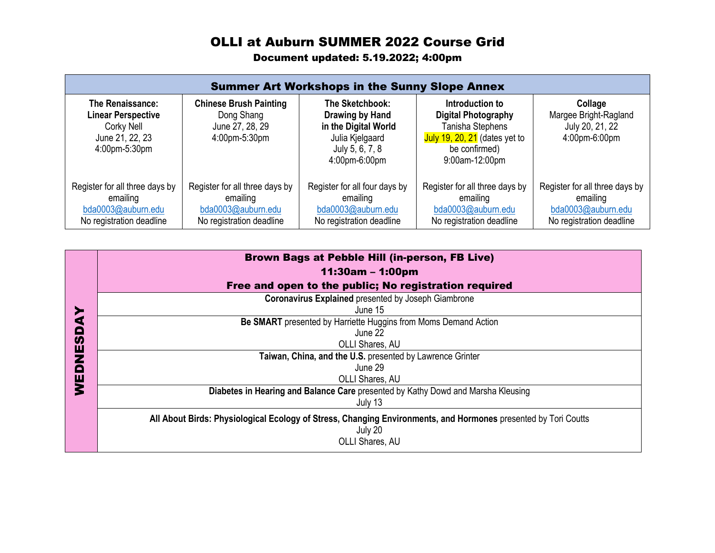## OLLI at Auburn SUMMER 2022 Course Grid

Document updated: 5.19.2022; 4:00pm

| <b>Summer Art Workshops in the Sunny Slope Annex</b>                                               |                                                                                              |                                                                                                                   |                                                                                                                                            |                                                                                              |  |  |  |
|----------------------------------------------------------------------------------------------------|----------------------------------------------------------------------------------------------|-------------------------------------------------------------------------------------------------------------------|--------------------------------------------------------------------------------------------------------------------------------------------|----------------------------------------------------------------------------------------------|--|--|--|
| The Renaissance:<br><b>Linear Perspective</b><br>Corky Nell<br>June 21, 22, 23<br>$4:00$ pm-5:30pm | <b>Chinese Brush Painting</b><br>Dong Shang<br>June 27, 28, 29<br>4:00pm-5:30pm              | The Sketchbook:<br>Drawing by Hand<br>in the Digital World<br>Julia Kjelgaard<br>July 5, 6, 7, 8<br>4:00pm-6:00pm | Introduction to<br><b>Digital Photography</b><br>Tanisha Stephens<br>July 19, $20$ , $21$ (dates yet to<br>be confirmed)<br>9:00am-12:00pm | Collage<br>Margee Bright-Ragland<br>July 20, 21, 22<br>4:00pm-6:00pm                         |  |  |  |
| Register for all three days by<br>emailing<br>bda0003@auburn.edu<br>No registration deadline       | Register for all three days by<br>emailing<br>bda0003@auburn.edu<br>No registration deadline | Register for all four days by<br>emailing<br>bda0003@auburn.edu<br>No registration deadline                       | Register for all three days by<br>emailing<br>bda0003@auburn.edu<br>No registration deadline                                               | Register for all three days by<br>emailing<br>bda0003@auburn.edu<br>No registration deadline |  |  |  |

|        | Brown Bags at Pebble Hill (in-person, FB Live)                                                                 |
|--------|----------------------------------------------------------------------------------------------------------------|
|        | $11:30am - 1:00pm$                                                                                             |
|        | Free and open to the public; No registration required                                                          |
|        | <b>Coronavirus Explained presented by Joseph Giambrone</b>                                                     |
|        | June 15                                                                                                        |
|        | Be SMART presented by Harriette Huggins from Moms Demand Action                                                |
|        | June 22                                                                                                        |
| S<br>Ŵ | OLLI Shares, AU                                                                                                |
|        | Taiwan, China, and the U.S. presented by Lawrence Grinter                                                      |
| o      | June 29                                                                                                        |
| Ш      | OLLI Shares, AU                                                                                                |
|        | Diabetes in Hearing and Balance Care presented by Kathy Dowd and Marsha Kleusing                               |
|        | July 13                                                                                                        |
|        | All About Birds: Physiological Ecology of Stress, Changing Environments, and Hormones presented by Tori Coutts |
|        | July 20                                                                                                        |
|        | OLLI Shares, AU                                                                                                |